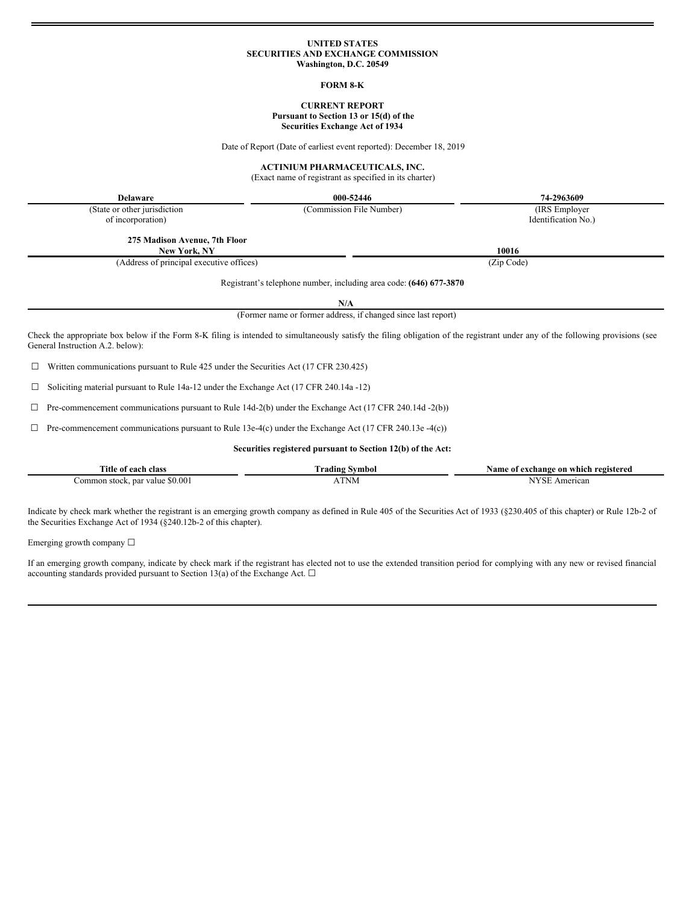# **UNITED STATES SECURITIES AND EXCHANGE COMMISSION Washington, D.C. 20549**

#### **FORM 8-K**

# **CURRENT REPORT Pursuant to Section 13 or 15(d) of the Securities Exchange Act of 1934**

Date of Report (Date of earliest event reported): December 18, 2019

### **ACTINIUM PHARMACEUTICALS, INC.**

(Exact name of registrant as specified in its charter)

**Delaware 000-52446 74-2963609**

(State or other jurisdiction of incorporation)

**275 Madison Avenue, 7th Floor**

**New York, NY 10016**

(Address of principal executive offices) (Zip Code)

(Commission File Number) (IRS Employer

Identification No.)

Registrant's telephone number, including area code: **(646) 677-3870**

**N/A**

(Former name or former address, if changed since last report)

Check the appropriate box below if the Form 8-K filing is intended to simultaneously satisfy the filing obligation of the registrant under any of the following provisions (see General Instruction A.2. below):

 $\Box$  Written communications pursuant to Rule 425 under the Securities Act (17 CFR 230.425)

☐ Soliciting material pursuant to Rule 14a-12 under the Exchange Act (17 CFR 240.14a -12)

☐ Pre-commencement communications pursuant to Rule 14d-2(b) under the Exchange Act (17 CFR 240.14d -2(b))

 $\Box$  Pre-commencement communications pursuant to Rule 13e-4(c) under the Exchange Act (17 CFR 240.13e -4(c))

#### **Securities registered pursuant to Section 12(b) of the Act:**

| Title of<br>class<br>each               | Svmbol<br>radıng | registered<br>.vame<br>which<br>exchange<br>0n<br>: 0T |  |
|-----------------------------------------|------------------|--------------------------------------------------------|--|
| \$0.001<br>ommon<br>par value<br>stock. | ATNM             | $\mathbf{r}$<br>American<br>SЕ                         |  |

Indicate by check mark whether the registrant is an emerging growth company as defined in Rule 405 of the Securities Act of 1933 (§230.405 of this chapter) or Rule 12b-2 of the Securities Exchange Act of 1934 (§240.12b-2 of this chapter).

Emerging growth company  $\Box$ 

If an emerging growth company, indicate by check mark if the registrant has elected not to use the extended transition period for complying with any new or revised financial accounting standards provided pursuant to Section 13(a) of the Exchange Act.  $\square$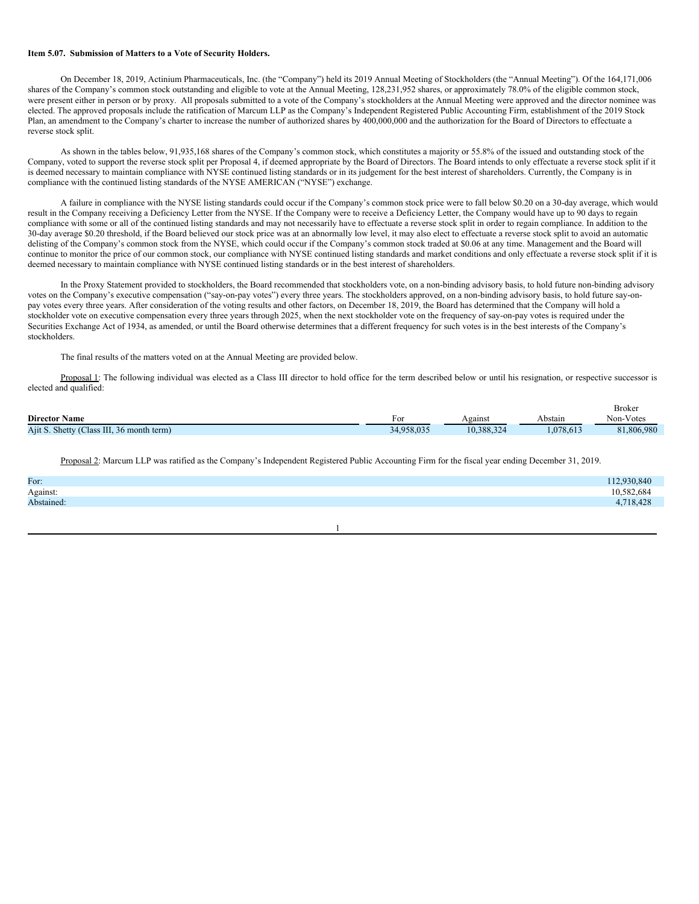#### **Item 5.07. Submission of Matters to a Vote of Security Holders.**

On December 18, 2019, Actinium Pharmaceuticals, Inc. (the "Company") held its 2019 Annual Meeting of Stockholders (the "Annual Meeting"). Of the 164,171,006 shares of the Company's common stock outstanding and eligible to vote at the Annual Meeting, 128,231,952 shares, or approximately 78.0% of the eligible common stock, were present either in person or by proxy. All proposals submitted to a vote of the Company's stockholders at the Annual Meeting were approved and the director nominee was elected. The approved proposals include the ratification of Marcum LLP as the Company's Independent Registered Public Accounting Firm, establishment of the 2019 Stock Plan, an amendment to the Company's charter to increase the number of authorized shares by 400,000,000 and the authorization for the Board of Directors to effectuate a reverse stock split.

As shown in the tables below, 91,935,168 shares of the Company's common stock, which constitutes a majority or 55.8% of the issued and outstanding stock of the Company, voted to support the reverse stock split per Proposal 4, if deemed appropriate by the Board of Directors. The Board intends to only effectuate a reverse stock split if it is deemed necessary to maintain compliance with NYSE continued listing standards or in its judgement for the best interest of shareholders. Currently, the Company is in compliance with the continued listing standards of the NYSE AMERICAN ("NYSE") exchange.

A failure in compliance with the NYSE listing standards could occur if the Company's common stock price were to fall below \$0.20 on a 30-day average, which would result in the Company receiving a Deficiency Letter from the NYSE. If the Company were to receive a Deficiency Letter, the Company would have up to 90 days to regain compliance with some or all of the continued listing standards and may not necessarily have to effectuate a reverse stock split in order to regain compliance. In addition to the 30-day average \$0.20 threshold, if the Board believed our stock price was at an abnormally low level, it may also elect to effectuate a reverse stock split to avoid an automatic delisting of the Company's common stock from the NYSE, which could occur if the Company's common stock traded at \$0.06 at any time. Management and the Board will continue to monitor the price of our common stock, our compliance with NYSE continued listing standards and market conditions and only effectuate a reverse stock split if it is deemed necessary to maintain compliance with NYSE continued listing standards or in the best interest of shareholders.

In the Proxy Statement provided to stockholders, the Board recommended that stockholders vote, on a non-binding advisory basis, to hold future non-binding advisory votes on the Company's executive compensation ("say-on-pay votes") every three years. The stockholders approved, on a non-binding advisory basis, to hold future say-onpay votes every three years. After consideration of the voting results and other factors, on December 18, 2019, the Board has determined that the Company will hold a stockholder vote on executive compensation every three years through 2025, when the next stockholder vote on the frequency of say-on-pay votes is required under the Securities Exchange Act of 1934, as amended, or until the Board otherwise determines that a different frequency for such votes is in the best interests of the Company's stockholders.

The final results of the matters voted on at the Annual Meeting are provided below.

Proposal 1: The following individual was elected as a Class III director to hold office for the term described below or until his resignation, or respective successor is elected and qualified:

|                                           |            |            |          | <b>Broker</b> |
|-------------------------------------------|------------|------------|----------|---------------|
| <b>Director Name</b>                      | F01        | Against    | Abstain  | Non-Votes     |
| Ajit S. Shetty (Class III, 36 month term) | 34.958.035 | 10.388.324 | .078.613 | 81.806.980    |

Proposal 2: Marcum LLP was ratified as the Company's Independent Registered Public Accounting Firm for the fiscal year ending December 31, 2019.

| For:       | 112,930,840 |
|------------|-------------|
| Against:   | 10.582,684  |
| Abstained: | 4,718,428   |
|            |             |

# 1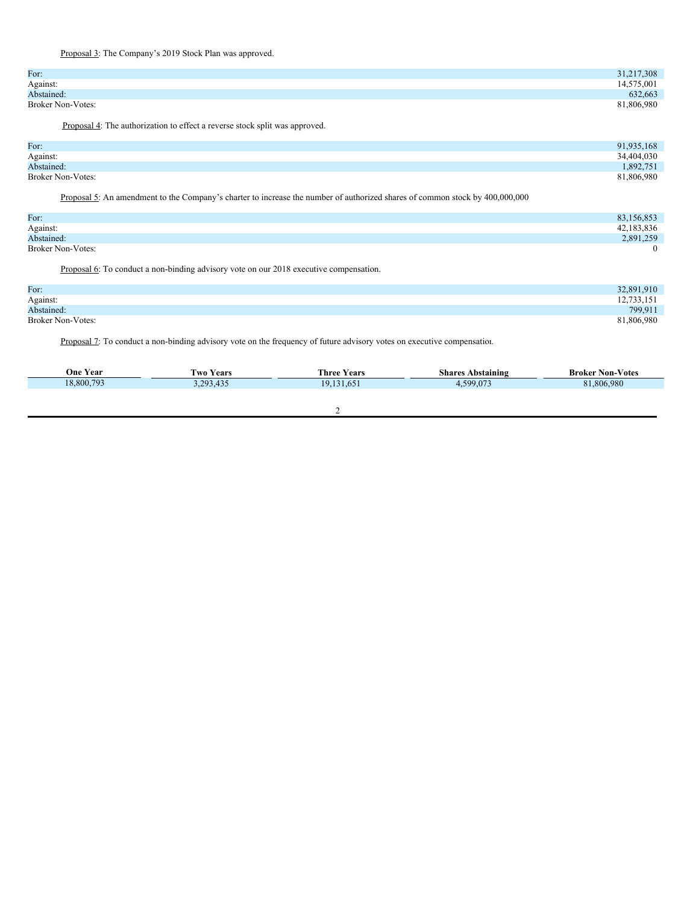Proposal 3: The Company's 2019 Stock Plan was approved.

| For:                     | 31,217,308 |
|--------------------------|------------|
| Against:                 | 14,575,001 |
| Abstained:               | 632,663    |
| <b>Broker Non-Votes:</b> | 81,806,980 |

Proposal 4: The authorization to effect a reverse stock split was approved.

| For:                     | 91,935,168 |
|--------------------------|------------|
| Against:                 | 34,404,030 |
| Abstained:               | 1,892,751  |
| <b>Broker Non-Votes:</b> | 81,806,980 |

Proposal 5: An amendment to the Company's charter to increase the number of authorized shares of common stock by 400,000,000

| For:                     | 83,156,853 |
|--------------------------|------------|
| Against:                 | 42,183,836 |
| Abstained:               | 2,891,259  |
| <b>Broker Non-Votes:</b> |            |

Proposal 6: To conduct a non-binding advisory vote on our 2018 executive compensation.

| 32,891,910 |
|------------|
| 12,733,151 |
| 799,911    |
| 81,806,980 |
|            |

Proposal 7: To conduct a non-binding advisory vote on the frequency of future advisory votes on executive compensation.

| <b>One Year</b> | <b>Two Years</b> | <b>Three Years</b> | <b>Shares Abstaining</b> | <b>Broker Non-Votes</b> |
|-----------------|------------------|--------------------|--------------------------|-------------------------|
| 18,800,793      | 3,293,435        | 19,131,651         | 4,599,073                | 81,806,980              |
|                 |                  |                    |                          |                         |
|                 |                  |                    |                          |                         |
|                 |                  |                    |                          |                         |